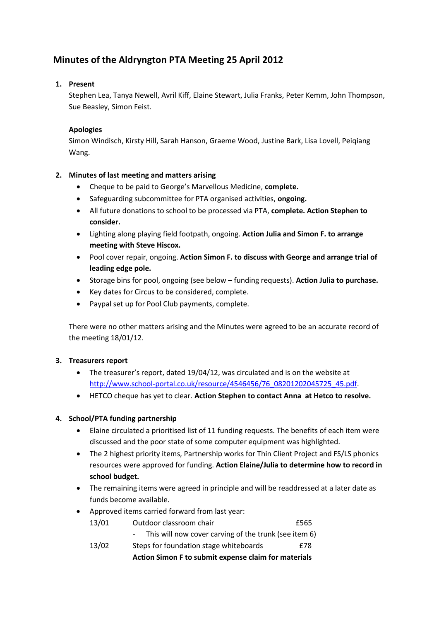# **Minutes of the Aldryngton PTA Meeting 25 April 2012**

# **1. Present**

Stephen Lea, Tanya Newell, Avril Kiff, Elaine Stewart, Julia Franks, Peter Kemm, John Thompson, Sue Beasley, Simon Feist.

# **Apologies**

Simon Windisch, Kirsty Hill, Sarah Hanson, Graeme Wood, Justine Bark, Lisa Lovell, Peiqiang Wang.

## **2. Minutes of last meeting and matters arising**

- Cheque to be paid to George's Marvellous Medicine, **complete.**
- Safeguarding subcommittee for PTA organised activities, **ongoing.**
- All future donations to school to be processed via PTA, **complete. Action Stephen to consider.**
- Lighting along playing field footpath, ongoing. **Action Julia and Simon F. to arrange meeting with Steve Hiscox.**
- Pool cover repair, ongoing. **Action Simon F. to discuss with George and arrange trial of leading edge pole.**
- Storage bins for pool, ongoing (see below funding requests). **Action Julia to purchase.**
- Key dates for Circus to be considered, complete.
- Paypal set up for Pool Club payments, complete.

There were no other matters arising and the Minutes were agreed to be an accurate record of the meeting 18/01/12.

## **3. Treasurers report**

- The treasurer's report, dated 19/04/12, was circulated and is on the website at [http://www.school-portal.co.uk/resource/4546456/76\\_08201202045725\\_45.pdf.](http://www.school-portal.co.uk/resource/4546456/76_08201202045725_45.pdf)
- HETCO cheque has yet to clear. **Action Stephen to contact Anna at Hetco to resolve.**

# **4. School/PTA funding partnership**

- Elaine circulated a prioritised list of 11 funding requests. The benefits of each item were discussed and the poor state of some computer equipment was highlighted.
- The 2 highest priority items, Partnership works for Thin Client Project and FS/LS phonics resources were approved for funding. **Action Elaine/Julia to determine how to record in school budget.**
- The remaining items were agreed in principle and will be readdressed at a later date as funds become available.
- Approved items carried forward from last year:

|       | Action Simon F to submit expense claim for materials  |      |
|-------|-------------------------------------------------------|------|
| 13/02 | Steps for foundation stage whiteboards                | f78  |
|       | This will now cover carving of the trunk (see item 6) |      |
| 13/01 | Outdoor classroom chair                               | £565 |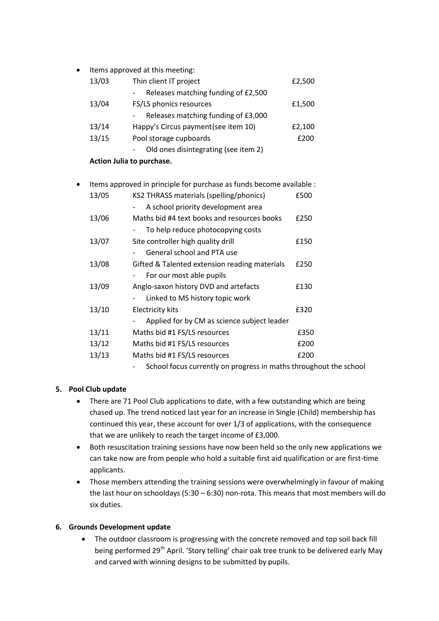| $\bullet$ |       | Items approved at this meeting:      |        |
|-----------|-------|--------------------------------------|--------|
|           | 13/03 | Thin client IT project               | £2,500 |
|           |       | Releases matching funding of £2,500  |        |
|           | 13/04 | FS/LS phonics resources              | £1,500 |
|           |       | Releases matching funding of £3,000  |        |
|           | 13/14 | Happy's Circus payment (see item 10) | £2,100 |
|           | 13/15 | Pool storage cupboards               | £200   |
|           |       | Old ones disintegrating (see item 2) |        |
|           |       |                                      |        |

- **Action Julia to purchase.**
- Items approved in principle for purchase as funds become available : 13/05 KS2 THRASS materials (spelling/phonics) £500

| ⊥⊃ ≀ ໐ ⊃ | $32$ moves indicated to permiss priorities.   |      |
|----------|-----------------------------------------------|------|
|          | A school priority development area            |      |
| 13/06    | Maths bid #4 text books and resources books   | £250 |
|          | To help reduce photocopying costs             |      |
| 13/07    | Site controller high quality drill            | £150 |
|          | General school and PTA use                    |      |
| 13/08    | Gifted & Talented extension reading materials | £250 |
|          | For our most able pupils                      |      |
| 13/09    | Anglo-saxon history DVD and artefacts         | £130 |
|          | Linked to MS history topic work               |      |
| 13/10    | <b>Electricity kits</b>                       | £320 |
|          | Applied for by CM as science subject leader   |      |
| 13/11    | Maths bid #1 FS/LS resources                  | £350 |
| 13/12    | Maths bid #1 FS/LS resources                  | £200 |
| 13/13    | Maths bid #1 FS/LS resources                  | £200 |
|          |                                               |      |

School focus currently on progress in maths throughout the school

# **5. Pool Club update**

- There are 71 Pool Club applications to date, with a few outstanding which are being chased up. The trend noticed last year for an increase in Single (Child) membership has continued this year, these account for over 1/3 of applications, with the consequence that we are unlikely to reach the target income of £3,000.
- Both resuscitation training sessions have now been held so the only new applications we can take now are from people who hold a suitable first aid qualification or are first-time applicants.
- Those members attending the training sessions were overwhelmingly in favour of making the last hour on schooldays (5:30 – 6:30) non-rota. This means that most members will do six duties.

## **6. Grounds Development update**

• The outdoor classroom is progressing with the concrete removed and top soil back fill being performed 29<sup>th</sup> April. 'Story telling' chair oak tree trunk to be delivered early May and carved with winning designs to be submitted by pupils.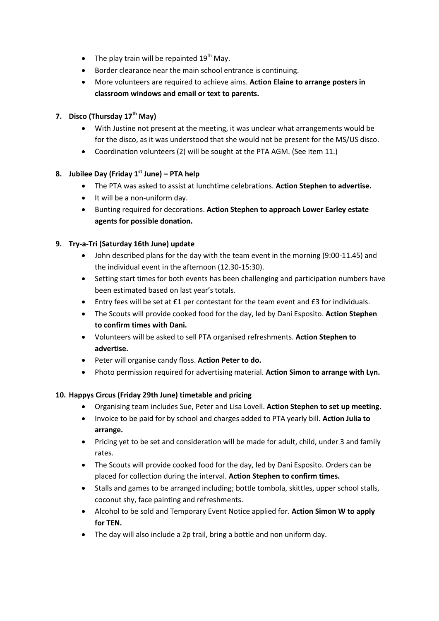- The play train will be repainted  $19<sup>th</sup>$  May.
- Border clearance near the main school entrance is continuing.
- More volunteers are required to achieve aims. **Action Elaine to arrange posters in classroom windows and email or text to parents.**

# **7. Disco (Thursday 17th May)**

- With Justine not present at the meeting, it was unclear what arrangements would be for the disco, as it was understood that she would not be present for the MS/US disco.
- Coordination volunteers (2) will be sought at the PTA AGM. (See item 11.)

# **8. Jubilee Day (Friday 1st June) – PTA help**

- The PTA was asked to assist at lunchtime celebrations. **Action Stephen to advertise.**
- It will be a non-uniform day.
- Bunting required for decorations. **Action Stephen to approach Lower Earley estate agents for possible donation.**

# **9. Try-a-Tri (Saturday 16th June) update**

- John described plans for the day with the team event in the morning (9:00-11.45) and the individual event in the afternoon (12.30-15:30).
- Setting start times for both events has been challenging and participation numbers have been estimated based on last year's totals.
- Entry fees will be set at £1 per contestant for the team event and £3 for individuals.
- The Scouts will provide cooked food for the day, led by Dani Esposito. **Action Stephen to confirm times with Dani.**
- Volunteers will be asked to sell PTA organised refreshments. **Action Stephen to advertise.**
- Peter will organise candy floss. **Action Peter to do.**
- Photo permission required for advertising material. **Action Simon to arrange with Lyn.**

## **10. Happys Circus (Friday 29th June) timetable and pricing**

- Organising team includes Sue, Peter and Lisa Lovell. **Action Stephen to set up meeting.**
- Invoice to be paid for by school and charges added to PTA yearly bill. **Action Julia to arrange.**
- Pricing yet to be set and consideration will be made for adult, child, under 3 and family rates.
- The Scouts will provide cooked food for the day, led by Dani Esposito. Orders can be placed for collection during the interval. **Action Stephen to confirm times.**
- Stalls and games to be arranged including; bottle tombola, skittles, upper school stalls, coconut shy, face painting and refreshments.
- Alcohol to be sold and Temporary Event Notice applied for. **Action Simon W to apply for TEN.**
- The day will also include a 2p trail, bring a bottle and non uniform day.